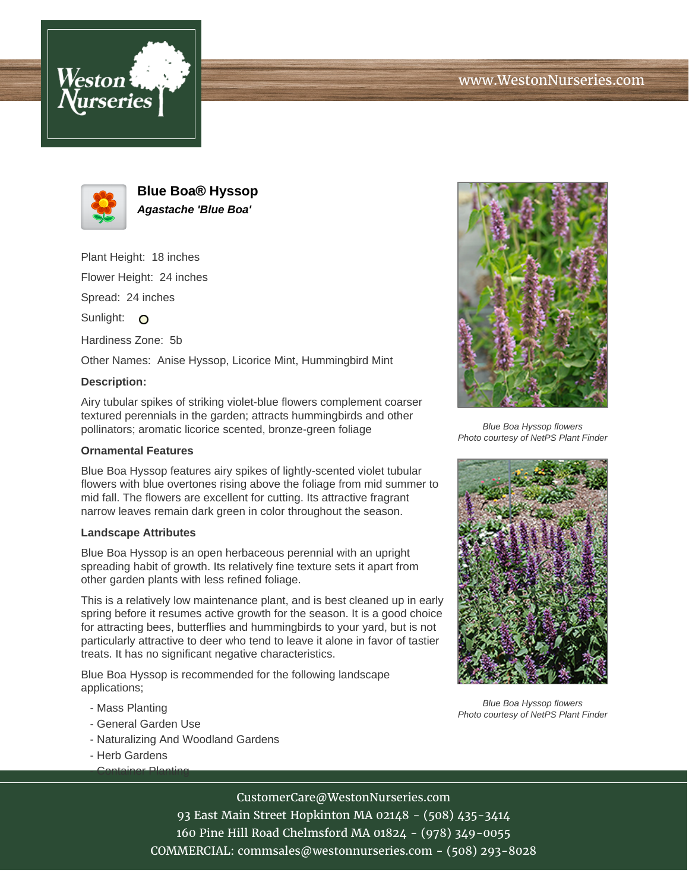



**Blue Boa® Hyssop Agastache 'Blue Boa'**

Plant Height: 18 inches Flower Height: 24 inches

Spread: 24 inches

Sunlight: O

Hardiness Zone: 5b

Other Names: Anise Hyssop, Licorice Mint, Hummingbird Mint

## **Description:**

Airy tubular spikes of striking violet-blue flowers complement coarser textured perennials in the garden; attracts hummingbirds and other pollinators; aromatic licorice scented, bronze-green foliage

## **Ornamental Features**

Blue Boa Hyssop features airy spikes of lightly-scented violet tubular flowers with blue overtones rising above the foliage from mid summer to mid fall. The flowers are excellent for cutting. Its attractive fragrant narrow leaves remain dark green in color throughout the season.

## **Landscape Attributes**

Blue Boa Hyssop is an open herbaceous perennial with an upright spreading habit of growth. Its relatively fine texture sets it apart from other garden plants with less refined foliage.

This is a relatively low maintenance plant, and is best cleaned up in early spring before it resumes active growth for the season. It is a good choice for attracting bees, butterflies and hummingbirds to your yard, but is not particularly attractive to deer who tend to leave it alone in favor of tastier treats. It has no significant negative characteristics.

Blue Boa Hyssop is recommended for the following landscape applications;

- Mass Planting
- General Garden Use
- Naturalizing And Woodland Gardens
- Herb Gardens

- Container Planting



Blue Boa Hyssop flowers Photo courtesy of NetPS Plant Finder



Blue Boa Hyssop flowers Photo courtesy of NetPS Plant Finder

CustomerCare@WestonNurseries.com

93 East Main Street Hopkinton MA 02148 - (508) 435-3414 160 Pine Hill Road Chelmsford MA 01824 - (978) 349-0055 COMMERCIAL: commsales@westonnurseries.com - (508) 293-8028